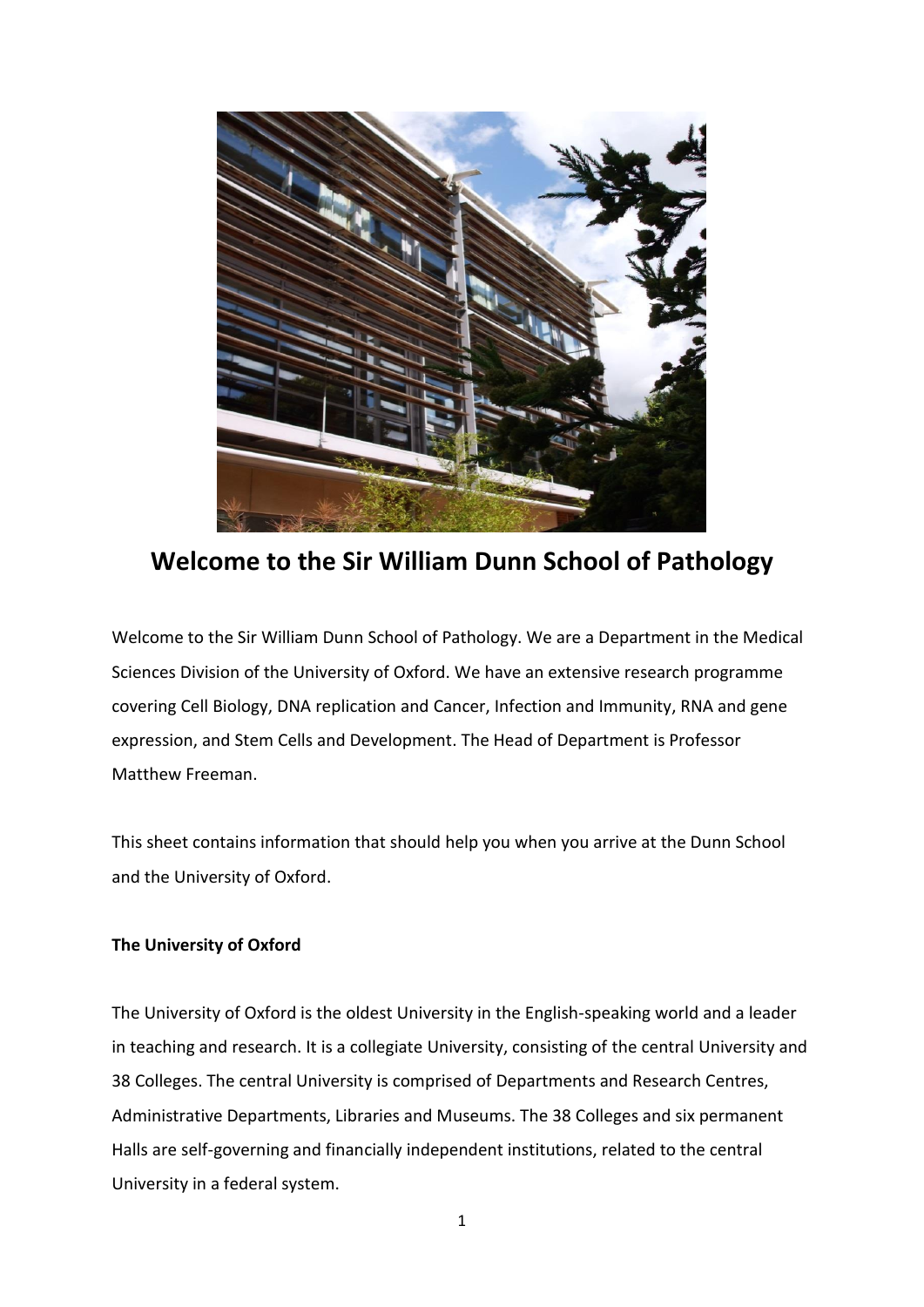

**Welcome to the Sir William Dunn School of Pathology**

Welcome to the Sir William Dunn School of Pathology. We are a Department in the Medical Sciences Division of the University of Oxford. We have an extensive research programme covering Cell Biology, DNA replication and Cancer, Infection and Immunity, RNA and gene expression, and Stem Cells and Development. The Head of Department is Professor Matthew Freeman.

This sheet contains information that should help you when you arrive at the Dunn School and the University of Oxford.

# **The University of Oxford**

The University of Oxford is the oldest University in the English-speaking world and a leader in teaching and research. It is a collegiate University, consisting of the central University and 38 Colleges. The central University is comprised of Departments and Research Centres, Administrative Departments, Libraries and Museums. The 38 Colleges and six permanent Halls are self-governing and financially independent institutions, related to the central University in a federal system.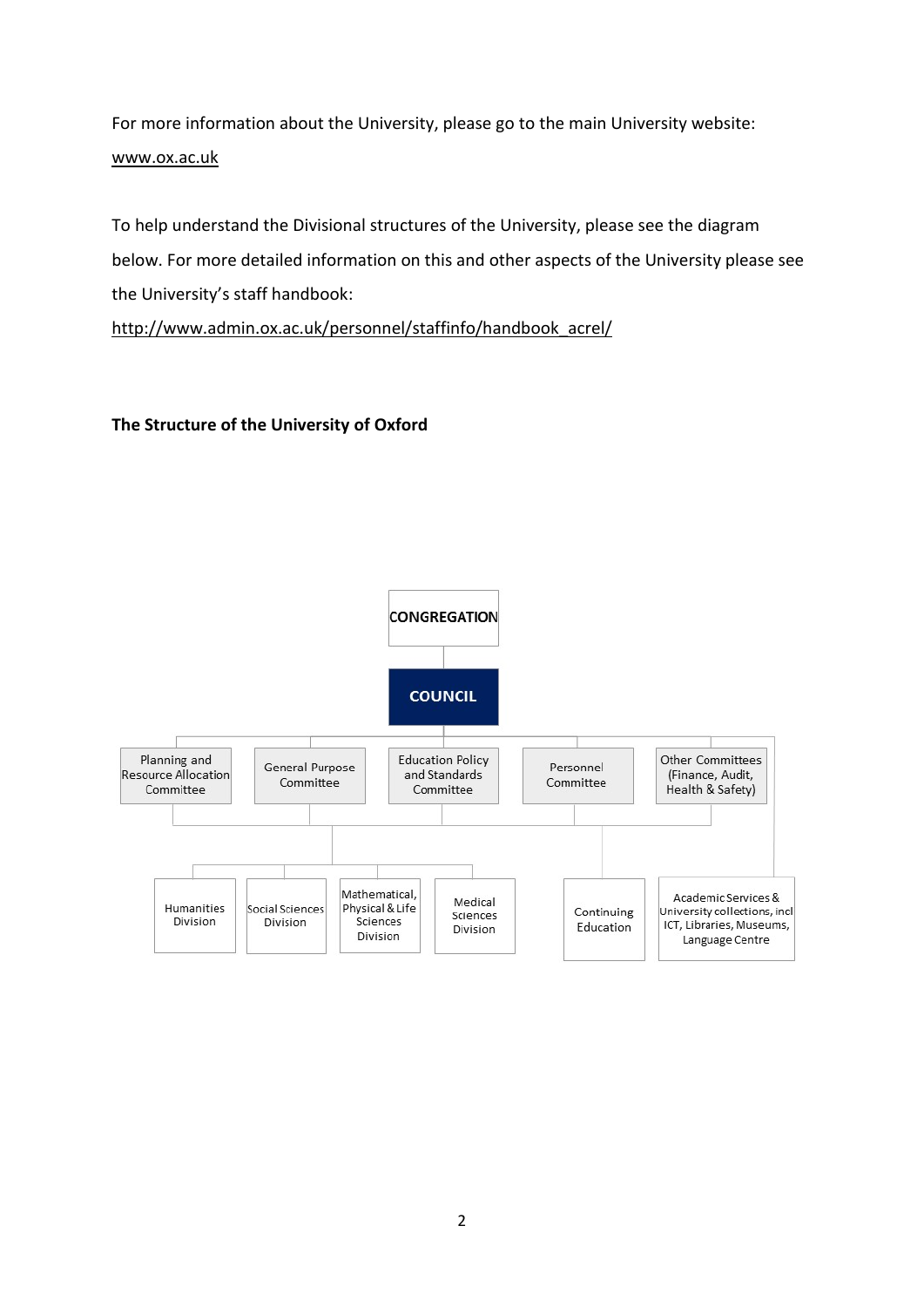For more information about the University, please go to the main University website: [www.ox.ac.uk](http://www.ox.ac.uk/)

To help understand the Divisional structures of the University, please see the diagram below. For more detailed information on this and other aspects of the University please see the University's staff handbook:

[http://www.admin.ox.ac.uk/personnel/staffinfo/handbook\\_acrel/](http://www.admin.ox.ac.uk/personnel/staffinfo/handbook_acrel/)

# **The Structure of the University of Oxford**

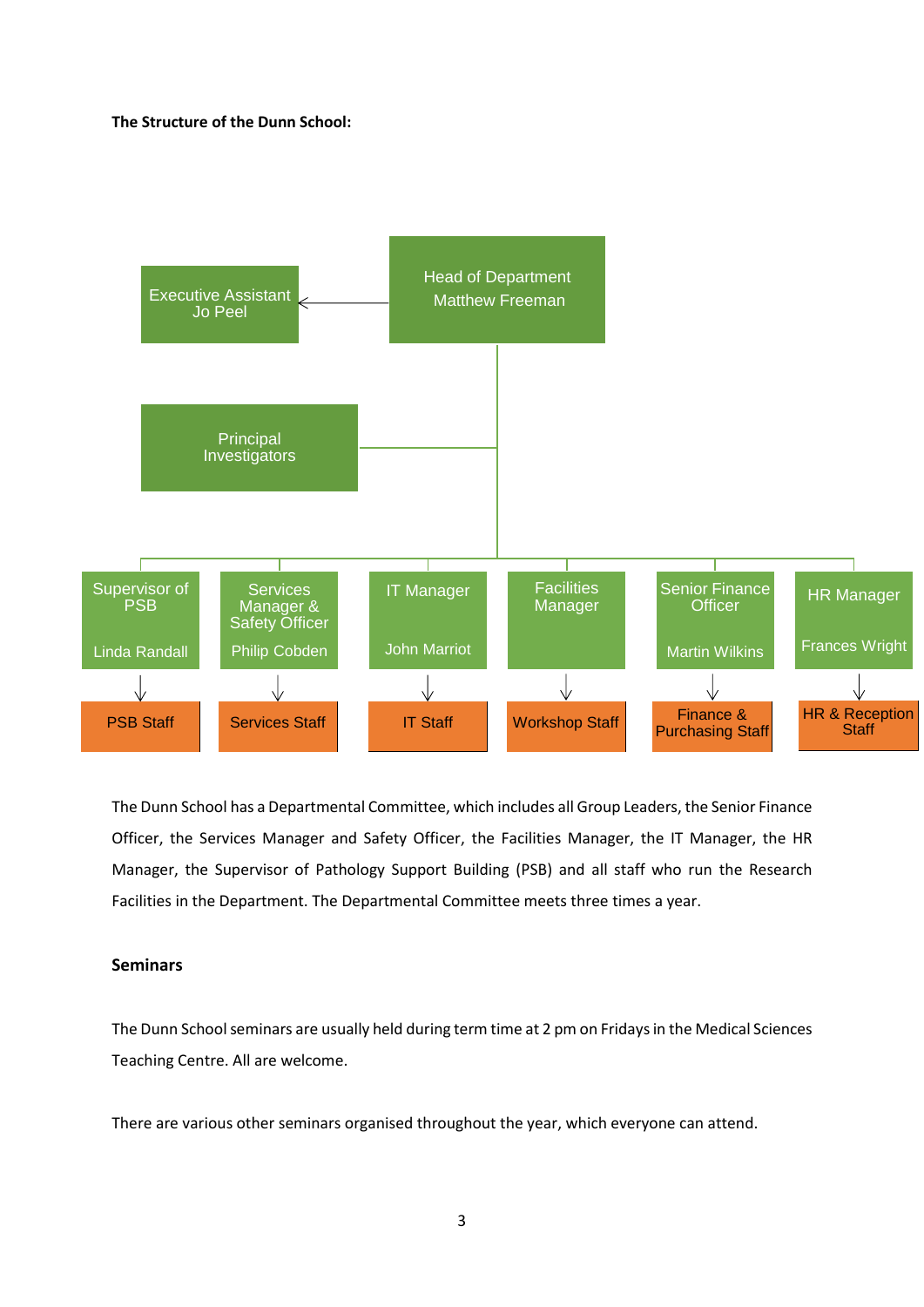#### **The Structure of the Dunn School:**



The Dunn School has a Departmental Committee, which includes all Group Leaders, the Senior Finance Officer, the Services Manager and Safety Officer, the Facilities Manager, the IT Manager, the HR Manager, the Supervisor of Pathology Support Building (PSB) and all staff who run the Research Facilities in the Department. The Departmental Committee meets three times a year.

## **Seminars**

The Dunn School seminars are usually held during term time at 2 pm on Fridays in the Medical Sciences Teaching Centre. All are welcome.

There are various other seminars organised throughout the year, which everyone can attend.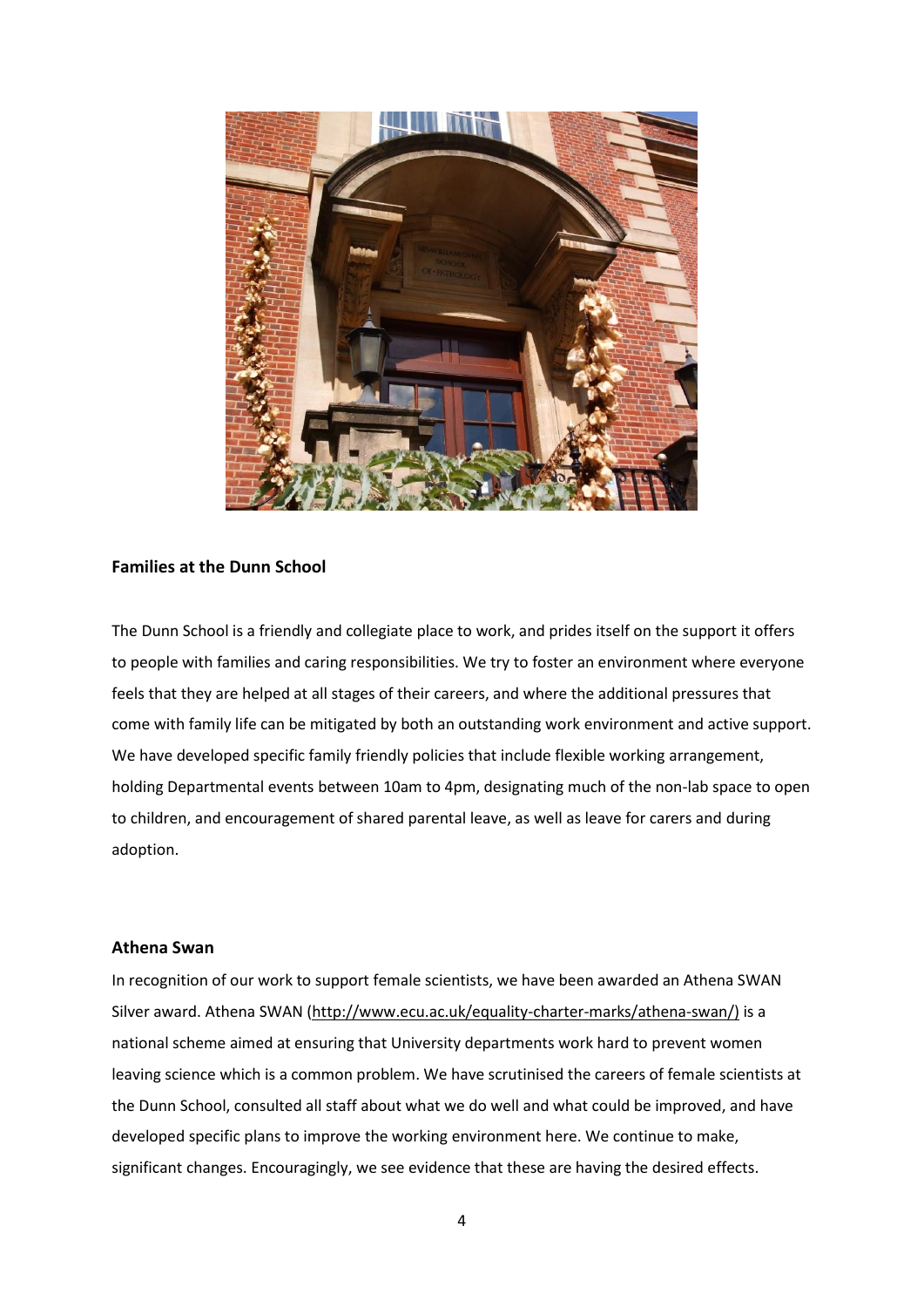

#### **Families at the Dunn School**

The Dunn School is a friendly and collegiate place to work, and prides itself on the support it offers to people with families and caring responsibilities. We try to foster an environment where everyone feels that they are helped at all stages of their careers, and where the additional pressures that come with family life can be mitigated by both an outstanding work environment and active support. We have developed specific family friendly policies that include flexible working arrangement, holding Departmental events between 10am to 4pm, designating much of the non-lab space to open to children, and encouragement of shared parental leave, as well as leave for carers and during adoption.

#### **Athena Swan**

In recognition of our work to support female scientists, we have been awarded an Athena SWAN Silver award. Athena SWAN [\(http://www.ecu.ac.uk/equality-charter-marks/athena-swan/\)](http://www.ecu.ac.uk/equality-charter-marks/athena-swan/) is a national scheme aimed at ensuring that University departments work hard to prevent women leaving science which is a common problem. We have scrutinised the careers of female scientists at the Dunn School, consulted all staff about what we do well and what could be improved, and have developed specific plans to improve the working environment here. We continue to make, significant changes. Encouragingly, we see evidence that these are having the desired effects.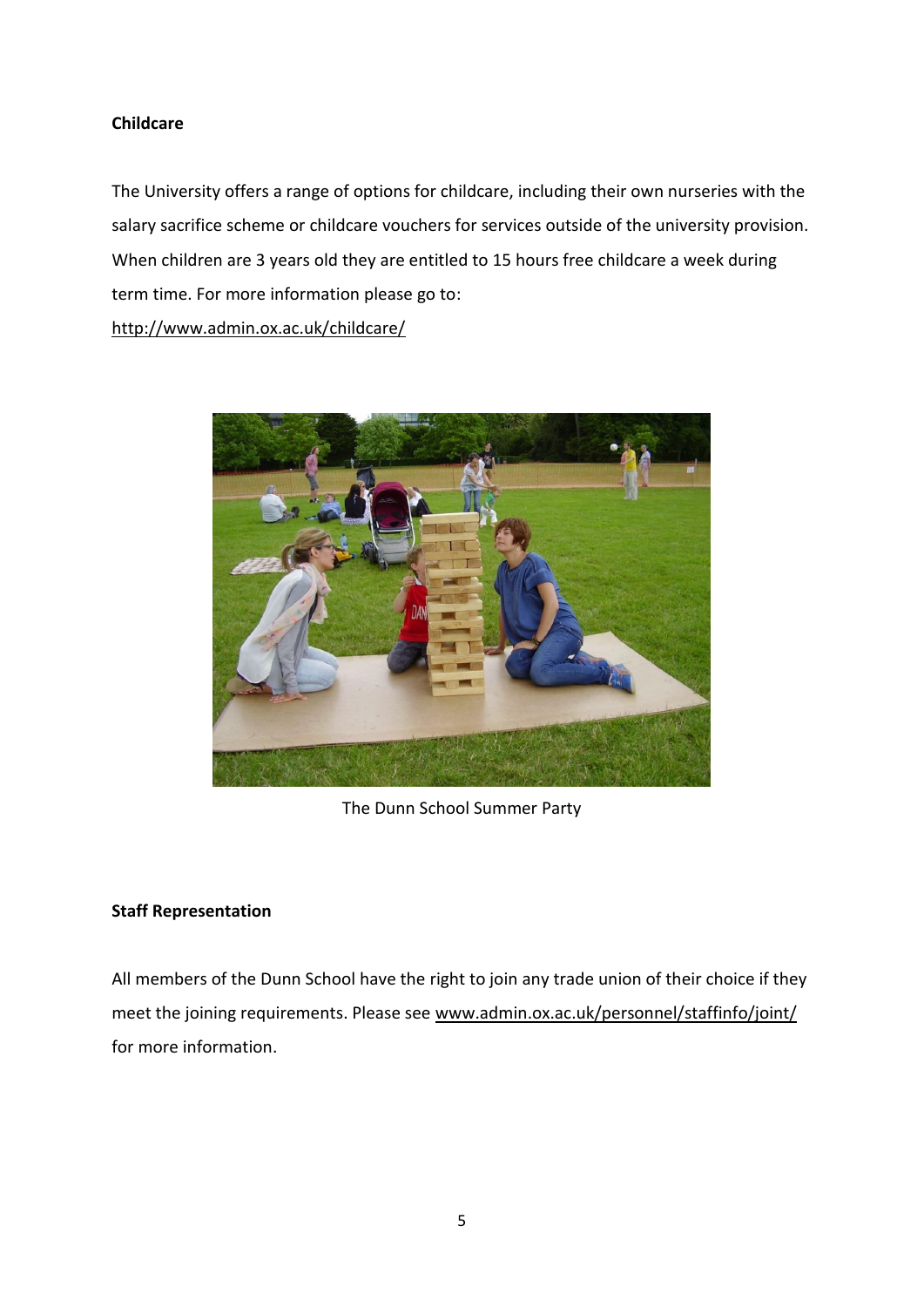# **Childcare**

The University offers a range of options for childcare, including their own nurseries with the salary sacrifice scheme or childcare vouchers for services outside of the university provision. When children are 3 years old they are entitled to 15 hours free childcare a week during term time. For more information please go to:

<http://www.admin.ox.ac.uk/childcare/>



The Dunn School Summer Party

# **Staff Representation**

All members of the Dunn School have the right to join any trade union of their choice if they meet the joining requirements. Please see [www.admin.ox.ac.uk/personnel/staffinfo/joint/](http://www.admin.ox.ac.uk/personnel/staffinfo/joint/) for more information.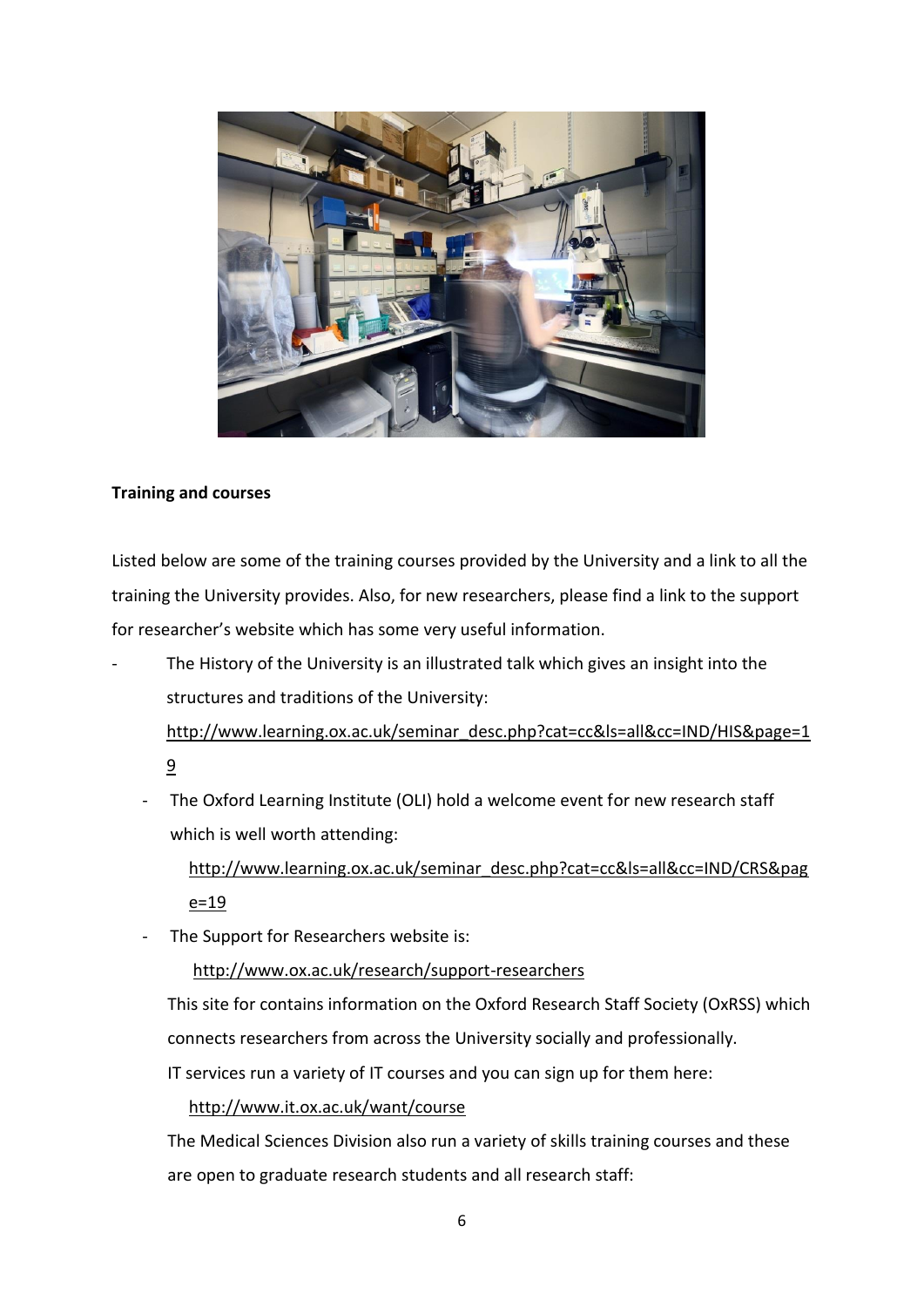

# **Training and courses**

Listed below are some of the training courses provided by the University and a link to all the training the University provides. Also, for new researchers, please find a link to the support for researcher's website which has some very useful information.

The History of the University is an illustrated talk which gives an insight into the structures and traditions of the University:

[http://www.learning.ox.ac.uk/seminar\\_desc.php?cat=cc&ls=all&cc=IND/HIS&page=1](http://www.learning.ox.ac.uk/seminar_desc.php?cat=cc&ls=all&cc=IND/HIS&page=19) [9](http://www.learning.ox.ac.uk/seminar_desc.php?cat=cc&ls=all&cc=IND/HIS&page=19)

The Oxford Learning Institute (OLI) hold a welcome event for new research staff which is well worth attending:

[http://www.learning.ox.ac.uk/seminar\\_desc.php?cat=cc&ls=all&cc=IND/CRS&pag](http://www.learning.ox.ac.uk/seminar_desc.php?cat=cc&ls=all&cc=IND/CRS&page=19)  $e = 19$ 

The Support for Researchers website is:

<http://www.ox.ac.uk/research/support-researchers>

This site for contains information on the Oxford Research Staff Society (OxRSS) which connects researchers from across the University socially and professionally.

IT services run a variety of IT courses and you can sign up for them here:

## <http://www.it.ox.ac.uk/want/course>

The Medical Sciences Division also run a variety of skills training courses and these are open to graduate research students and all research staff: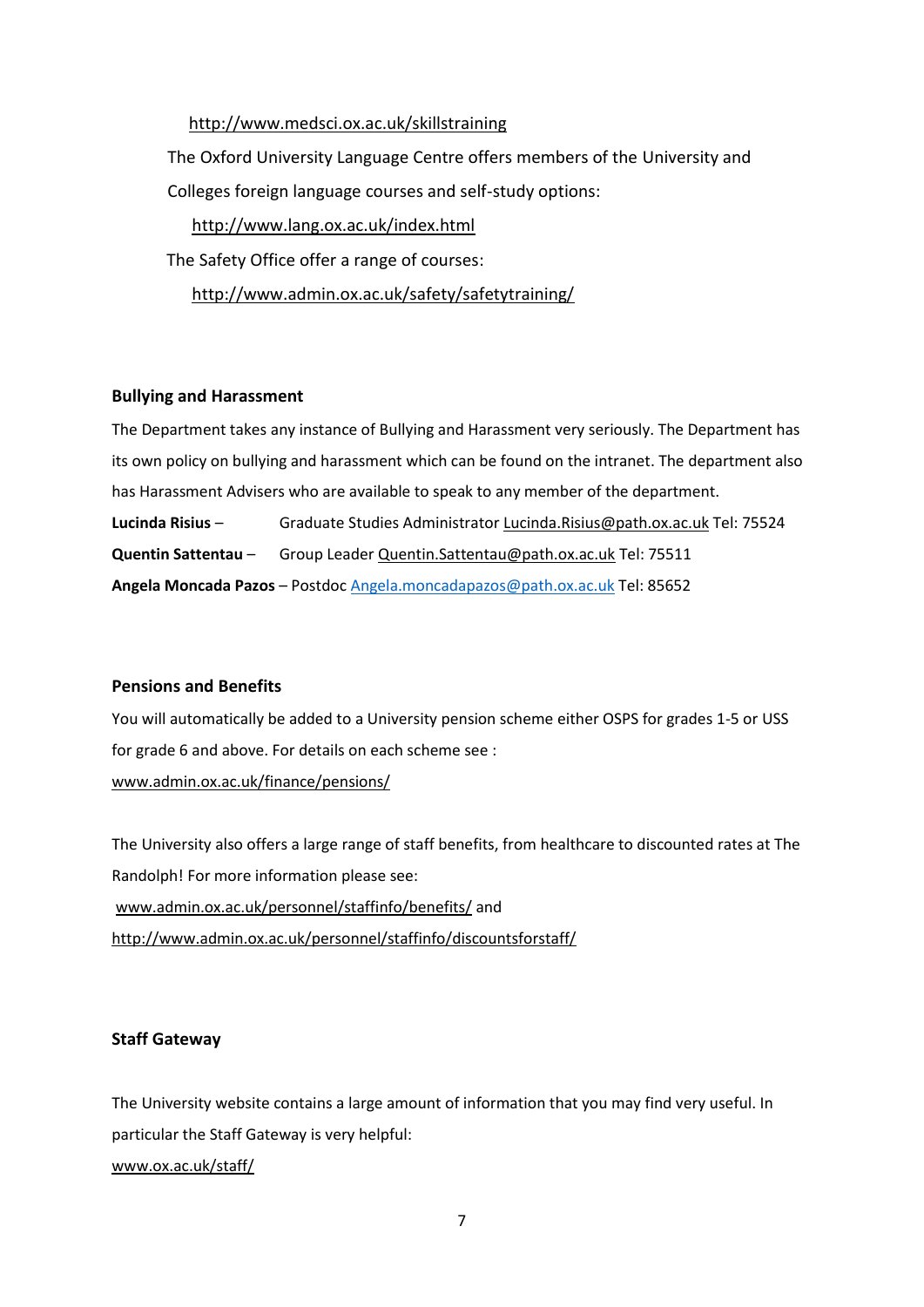# <http://www.medsci.ox.ac.uk/skillstraining>

The Oxford University Language Centre offers members of the University and Colleges foreign language courses and self-study options:

<http://www.lang.ox.ac.uk/index.html>

The Safety Office offer a range of courses:

<http://www.admin.ox.ac.uk/safety/safetytraining/>

### **Bullying and Harassment**

The Department takes any instance of Bullying and Harassment very seriously. The Department has its own policy on bullying and harassment which can be found on the intranet. The department also has Harassment Advisers who are available to speak to any member of the department. **Lucinda Risius** – Graduate Studies Administrator [Lucinda.Risius@path.ox.ac.uk](mailto:Lucinda.Risius@path.ox.ac.uk) Tel: 75524 **Quentin Sattentau** – Group Leade[r Quentin.Sattentau@path.ox.ac.uk](mailto:Quentin.Sattentau@path.ox.ac.uk) Tel: 75511 **Angela Moncada Pazos** – Postdoc [Angela.moncadapazos@path.ox.ac.uk](mailto:Angela.moncadapazos@path.ox.ac.uk) Tel: 85652

### **Pensions and Benefits**

You will automatically be added to a University pension scheme either OSPS for grades 1-5 or USS for grade 6 and above. For details on each scheme see : [www.admin.ox.ac.uk/finance/pensions/](http://www.admin.ox.ac.uk/finance/pensions/)

The University also offers a large range of staff benefits, from healthcare to discounted rates at The Randolph! For more information please see: [www.admin.ox.ac.uk/personnel/staffinfo/benefits/](http://www.admin.ox.ac.uk/personnel/staffinfo/benefits/) and <http://www.admin.ox.ac.uk/personnel/staffinfo/discountsforstaff/>

### **Staff Gateway**

The University website contains a large amount of information that you may find very useful. In particular the Staff Gateway is very helpful: [www.ox.ac.uk/staff/](http://www.ox.ac.uk/staff/)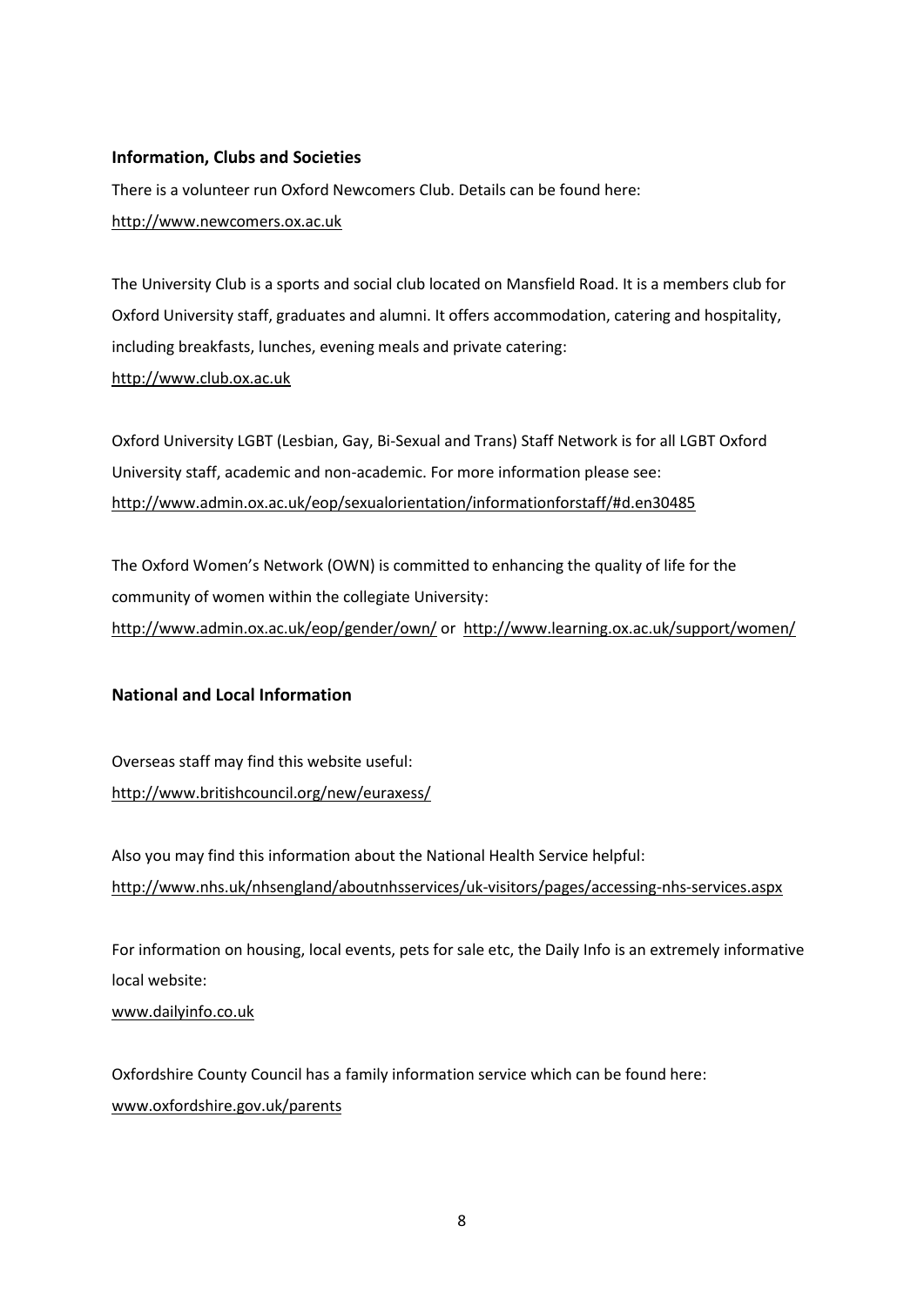## **Information, Clubs and Societies**

There is a volunteer run Oxford Newcomers Club. Details can be found here: [http://www.newcomers.ox.ac.uk](http://www.newcomers.ox.ac.uk/)

The University Club is a sports and social club located on Mansfield Road. It is a members club for Oxford University staff, graduates and alumni. It offers accommodation, catering and hospitality, including breakfasts, lunches, evening meals and private catering: [http://www.club.ox.ac.uk](http://www.club.ox.ac.uk/)

Oxford University LGBT (Lesbian, Gay, Bi-Sexual and Trans) Staff Network is for all LGBT Oxford University staff, academic and non-academic. For more information please see: <http://www.admin.ox.ac.uk/eop/sexualorientation/informationforstaff/#d.en30485>

The Oxford Women's Network (OWN) is committed to enhancing the quality of life for the community of women within the collegiate University: <http://www.admin.ox.ac.uk/eop/gender/own/> or<http://www.learning.ox.ac.uk/support/women/>

### **National and Local Information**

Overseas staff may find this website useful: <http://www.britishcouncil.org/new/euraxess/>

Also you may find this information about the National Health Service helpful: <http://www.nhs.uk/nhsengland/aboutnhsservices/uk-visitors/pages/accessing-nhs-services.aspx>

For information on housing, local events, pets for sale etc, the Daily Info is an extremely informative local website:

[www.dailyinfo.co.uk](http://www.dailyinfo.co.uk/)

Oxfordshire County Council has a family information service which can be found here: [www.oxfordshire.gov.uk/parents](http://www.oxfordshire.gov.uk/parents)